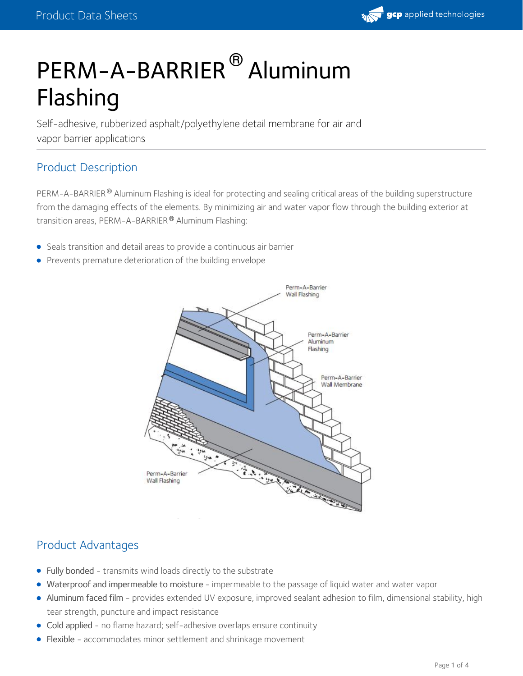# PERM-A-BARRIER® Aluminum Flashing

Self-adhesive, rubberized asphalt/polyethylene detail membrane for air and vapor barrier applications

## Product Description

PERM-A-BARRIER® Aluminum Flashing is ideal for protecting and sealing critical areas of the building superstructure from the damaging effects of the elements. By minimizing air and water vapor flow through the building exterior at transition areas, PERM-A-BARRIER® Aluminum Flashing:

- Seals transition and detail areas to provide a continuous air barrier
- **•** Prevents premature deterioration of the building envelope



## Product Advantages

- Fully bonded transmits wind loads directly to the substrate
- Waterproof and impermeable to moisture impermeable to the passage of liquid water and water vapor
- Aluminum faced film provides extended UV exposure, improved sealant adhesion to film, dimensional stability, high tear strength, puncture and impact resistance
- Cold applied no flame hazard; self-adhesive overlaps ensure continuity
- Flexible accommodates minor settlement and shrinkage movement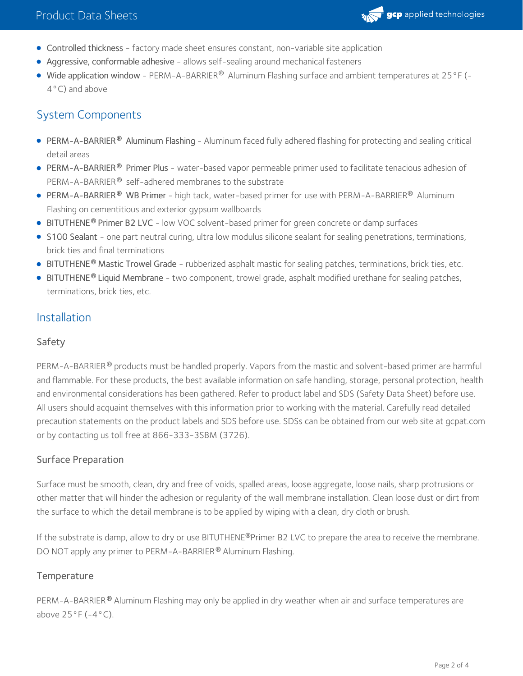

- Controlled thickness factory made sheet ensures constant, non-variable site application
- Aggressive, conformable adhesive allows self-sealing around mechanical fasteners
- Wide application window PERM-A-BARRIER® Aluminum Flashing surface and ambient temperatures at 25 °F (- $\,$ 4°C) and above

## System Components

- PERM-A-BARRIER Aluminum Flashing Aluminum faced fully adhered flashing for protecting and sealing critical **®** detail areas
- [PERM-A-BARRIER](https://gcpat.com/solutions/products/perm-a-barrier-air-barrier-system/perm-a-barrier-primer-plus)® Primer Plus water-based vapor permeable primer used to facilitate tenacious adhesion of PERM-A-BARRIER® self-adhered membranes to the substrate
- [PERM-A-BARRIER](https://gcpat.com/solutions/products/perm-a-barrier-air-barrier-system/perm-a-barrier-wb-primer)® WB Primer high tack, water-based primer for use with PERM-A-BARRIER® Aluminum Flashing on cementitious and exterior gypsum wallboards
- **[BITUTHENE](https://gcpat.com/solutions/products/bituthene-post-applied-waterproofing/bituthene-adhesive-primer-b2-lvc)® Primer B2 LVC** low VOC solvent-based primer for green concrete or damp surfaces
- S100 [Sealant](https://gcpat.com/solutions/products/perm-a-barrier-air-barrier-system/perm-a-barrier-s100-sealant) one part neutral curing, ultra low modulus silicone sealant for sealing penetrations, terminations, brick ties and final terminations
- **[BITUTHENE](https://gcpat.com/solutions/products/bituthene-post-applied-waterproofing/bituthene-mastic)<sup>®</sup> Mastic Trowel Grade rubberized asphalt mastic for sealing patches, terminations, brick ties, etc.**
- [BITUTHENE](https://gcpat.com/solutions/products/bituthene-post-applied-waterproofing/bituthene-liquid-membrane)® Liquid Membrane two component, trowel grade, asphalt modified urethane for sealing patches, terminations, brick ties, etc.

### Installation

#### Safety

PERM-A-BARRIER® products must be handled properly. Vapors from the mastic and solvent-based primer are harmful and flammable. For these products, the best available information on safe handling, storage, personal protection, health and environmental considerations has been gathered. Refer to product label and SDS [\(Safety](https://gcpat.com/sites/gcpat.com/files/2017-06/SD2763_-_Perm-A-Barrier%20Aluminum%20Flashing_%2528USGHS%2529.pdf) Data Sheet) before use. All users should acquaint themselves with this information prior to working with the material. Carefully read detailed precaution statements on the product labels and SDS before use. SDSs can be obtained from our web site at gcpat.com or by contacting us toll free at 866-333-3SBM (3726).

#### Surface Preparation

Surface must be smooth, clean, dry and free of voids, spalled areas, loose aggregate, loose nails, sharp protrusions or other matter that will hinder the adhesion or regularity of the wall membrane installation. Clean loose dust or dirt from the surface to which the detail membrane is to be applied by wiping with a clean, dry cloth or brush.

If the substrate is damp, allow to dry or use BITUTHENE®Primer B2 LVC to prepare the area to receive the membrane. DO NOT apply any primer to PERM-A-BARRIER® Aluminum Flashing.

#### **Temperature**

PERM-A-BARRIER® Aluminum Flashing may only be applied in dry weather when air and surface temperatures are above  $25^{\circ}F(-4^{\circ}C)$ .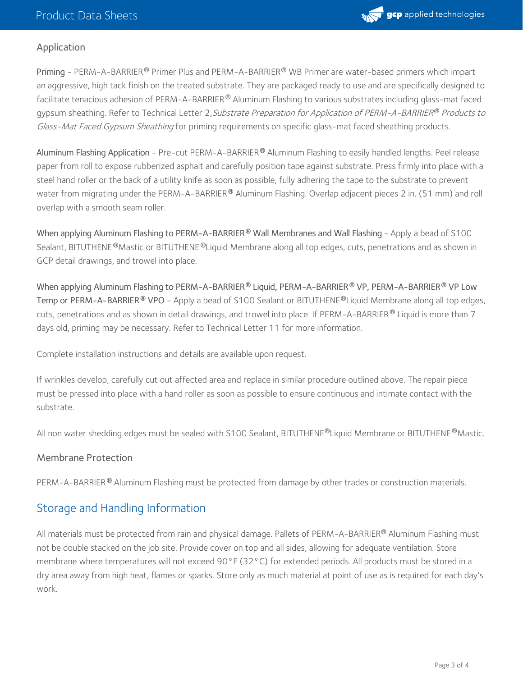

#### Application

Priming - PERM-A-BARRIER® Primer Plus and PERM-A-BARRIER® WB Primer are water-based primers which impart an aggressive, high tack finish on the treated substrate. They are packaged ready to use and are specifically designed to facilitate tenacious adhesion of PERM-A-BARRIER® Aluminum Flashing to various substrates including glass-mat faced gypsum sheathing. Refer to Technical Letter 2*,Substrate Preparation for Application of PERM-A-BARRIER® Products to* Glass-Mat Faced Gypsum Sheathing for priming requirements on specific glass-mat faced sheathing products.

Aluminum Flashing Application - Pre-cut PERM-A-BARRIER® Aluminum Flashing to easily handled lengths. Peel release paper from roll to expose rubberized asphalt and carefully position tape against substrate. Press firmly into place with a steel hand roller or the back of a utility knife as soon as possible, fully adhering the tape to the substrate to prevent water from migrating under the PERM-A-BARRIER $^\circledR$  Aluminum Flashing. Overlap adjacent pieces 2 in. (51 mm) and roll overlap with a smooth seam roller.

When applying Aluminum Flashing to PERM-A-BARRIER® Wall Membranes and Wall Flashing - Apply a bead of S100 Sealant, BITUTHENE®Mastic or BITUTHENE®Liquid Membrane along all top edges, cuts, penetrations and as shown in GCP detail drawings, and trowel into place.

When applying Aluminum Flashing to PERM-A-BARRIER Liquid, PERM-A-BARRIER VP, PERM-A-BARRIER VP Low **® ® ®** T**emp or PERM-A-BARRIER ® VPO** - Apply a bead of S100 Sealant or BITUTHENE®Liquid Membrane along all top edges, cuts, penetrations and as shown in detail drawings, and trowel into place. If PERM-A-BARRIER  $^\circledR$  Liquid is more than 7 days old, priming may be necessary. Refer to Technical Letter 11 for more information.

Complete installation instructions and details are available upon request.

If wrinkles develop, carefully cut out affected area and replace in similar procedure outlined above. The repair piece must be pressed into place with a hand roller as soon as possible to ensure continuous and intimate contact with the substrate.

All non water shedding edges must be sealed with S100 Sealant, BITUTHENE®Liquid Membrane or BITUTHENE®Mastic.

#### Membrane Protection

PERM-A-BARRIER® Aluminum Flashing must be protected from damage by other trades or construction materials.

## Storage and Handling Information

All materials must be protected from rain and physical damage. Pallets of PERM-A-BARRIER® Aluminum Flashing must not be double stacked on the job site. Provide cover on top and all sides, allowing for adequate ventilation. Store membrane where temperatures will not exceed 90°F (32°C) for extended periods. All products must be stored in a dry area away from high heat, flames or sparks. Store only as much material at point of use as is required for each day's work.